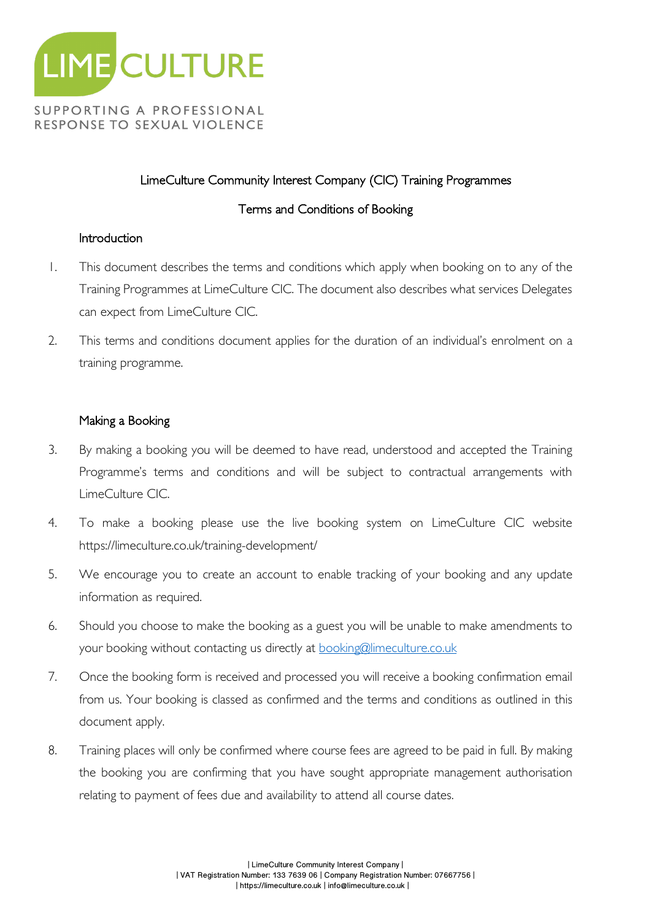

# LimeCulture Community Interest Company (CIC) Training Programmes

# Terms and Conditions of Booking

## **Introduction**

- 1. This document describes the terms and conditions which apply when booking on to any of the Training Programmes at LimeCulture CIC. The document also describes what services Delegates can expect from LimeCulture CIC.
- 2. This terms and conditions document applies for the duration of an individual's enrolment on a training programme.

## Making a Booking

- 3. By making a booking you will be deemed to have read, understood and accepted the Training Programme's terms and conditions and will be subject to contractual arrangements with LimeCulture CIC.
- 4. To make a booking please use the live booking system on LimeCulture CIC website https://limeculture.co.uk/training-development/
- 5. We encourage you to create an account to enable tracking of your booking and any update information as required.
- 6. Should you choose to make the booking as a guest you will be unable to make amendments to your booking without contacting us directly at booking@limeculture.co.uk
- 7. Once the booking form is received and processed you will receive a booking confirmation email from us. Your booking is classed as confirmed and the terms and conditions as outlined in this document apply.
- 8. Training places will only be confirmed where course fees are agreed to be paid in full. By making the booking you are confirming that you have sought appropriate management authorisation relating to payment of fees due and availability to attend all course dates.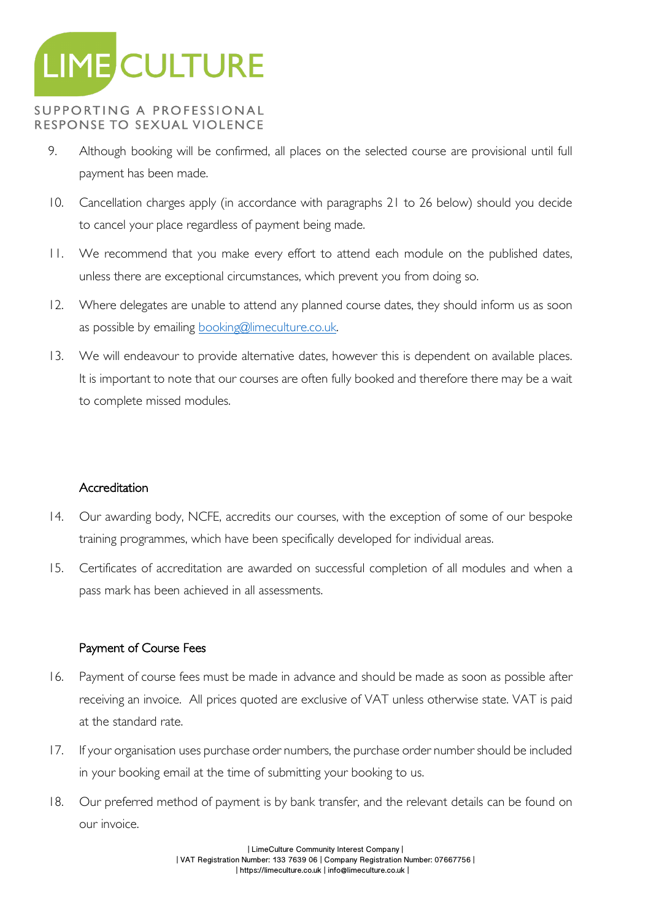

- 9. Although booking will be confirmed, all places on the selected course are provisional until full payment has been made.
- 10. Cancellation charges apply (in accordance with paragraphs 21 to 26 below) should you decide to cancel your place regardless of payment being made.
- 11. We recommend that you make every effort to attend each module on the published dates, unless there are exceptional circumstances, which prevent you from doing so.
- 12. Where delegates are unable to attend any planned course dates, they should inform us as soon as possible by emailing booking@limeculture.co.uk.
- 13. We will endeavour to provide alternative dates, however this is dependent on available places. It is important to note that our courses are often fully booked and therefore there may be a wait to complete missed modules.

## Accreditation

- 14. Our awarding body, NCFE, accredits our courses, with the exception of some of our bespoke training programmes, which have been specifically developed for individual areas.
- 15. Certificates of accreditation are awarded on successful completion of all modules and when a pass mark has been achieved in all assessments.

## Payment of Course Fees

- 16. Payment of course fees must be made in advance and should be made as soon as possible after receiving an invoice. All prices quoted are exclusive of VAT unless otherwise state. VAT is paid at the standard rate.
- 17. If your organisation uses purchase order numbers, the purchase order number should be included in your booking email at the time of submitting your booking to us.
- 18. Our preferred method of payment is by bank transfer, and the relevant details can be found on our invoice.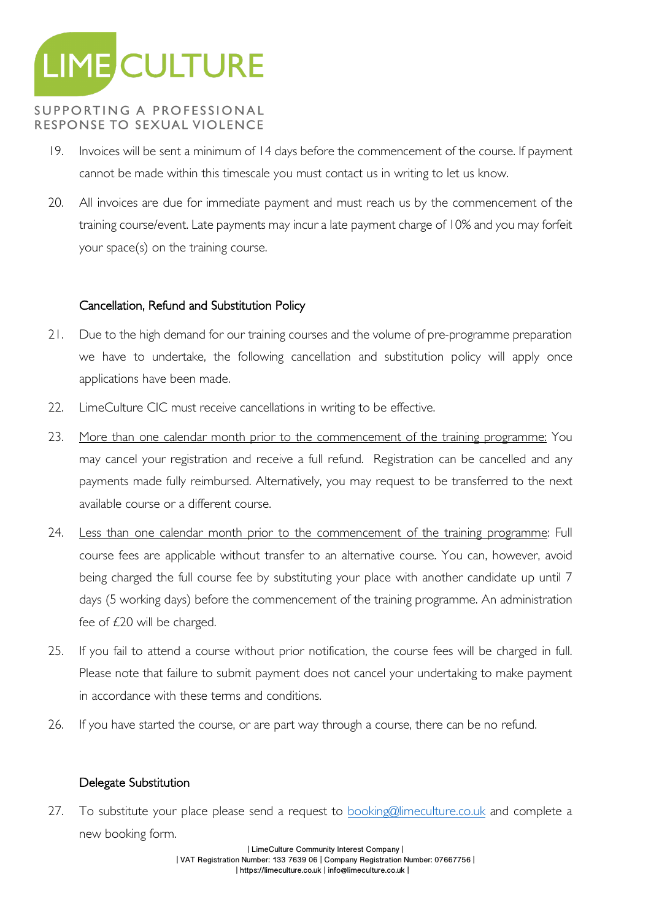

- 19. Invoices will be sent a minimum of 14 days before the commencement of the course. If payment cannot be made within this timescale you must contact us in writing to let us know.
- 20. All invoices are due for immediate payment and must reach us by the commencement of the training course/event. Late payments may incur a late payment charge of 10% and you may forfeit your space(s) on the training course.

#### Cancellation, Refund and Substitution Policy

- 21. Due to the high demand for our training courses and the volume of pre-programme preparation we have to undertake, the following cancellation and substitution policy will apply once applications have been made.
- 22. LimeCulture CIC must receive cancellations in writing to be effective.
- 23. More than one calendar month prior to the commencement of the training programme: You may cancel your registration and receive a full refund. Registration can be cancelled and any payments made fully reimbursed. Alternatively, you may request to be transferred to the next available course or a different course.
- 24. Less than one calendar month prior to the commencement of the training programme: Full course fees are applicable without transfer to an alternative course. You can, however, avoid being charged the full course fee by substituting your place with another candidate up until 7 days (5 working days) before the commencement of the training programme. An administration fee of £20 will be charged.
- 25. If you fail to attend a course without prior notification, the course fees will be charged in full. Please note that failure to submit payment does not cancel your undertaking to make payment in accordance with these terms and conditions.
- 26. If you have started the course, or are part way through a course, there can be no refund.

## Delegate Substitution

27. To substitute your place please send a request to **booking@limeculture.co.uk** and complete a new booking form.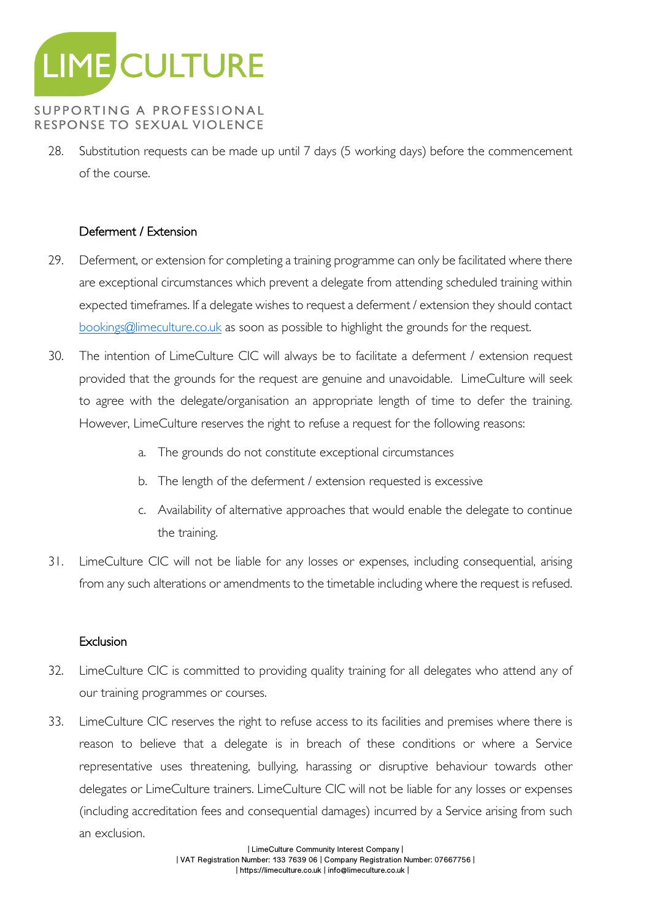

28. Substitution requests can be made up until 7 days (5 working days) before the commencement of the course.

## Deferment / Extension

- 29. Deferment, or extension for completing a training programme can only be facilitated where there are exceptional circumstances which prevent a delegate from attending scheduled training within expected timeframes. If a delegate wishes to request a deferment / extension they should contact bookings@limeculture.co.uk as soon as possible to highlight the grounds for the request.
- 30. The intention of LimeCulture CIC will always be to facilitate a deferment / extension request provided that the grounds for the request are genuine and unavoidable. LimeCulture will seek to agree with the delegate/organisation an appropriate length of time to defer the training. However, LimeCulture reserves the right to refuse a request for the following reasons:
	- a. The grounds do not constitute exceptional circumstances
	- b. The length of the deferment / extension requested is excessive
	- c. Availability of alternative approaches that would enable the delegate to continue the training.
- 31. LimeCulture CIC will not be liable for any losses or expenses, including consequential, arising from any such alterations or amendments to the timetable including where the request is refused.

#### **Exclusion**

- 32. LimeCulture CIC is committed to providing quality training for all delegates who attend any of our training programmes or courses.
- 33. LimeCulture CIC reserves the right to refuse access to its facilities and premises where there is reason to believe that a delegate is in breach of these conditions or where a Service representative uses threatening, bullying, harassing or disruptive behaviour towards other delegates or LimeCulture trainers. LimeCulture CIC will not be liable for any losses or expenses (including accreditation fees and consequential damages) incurred by a Service arising from such an exclusion.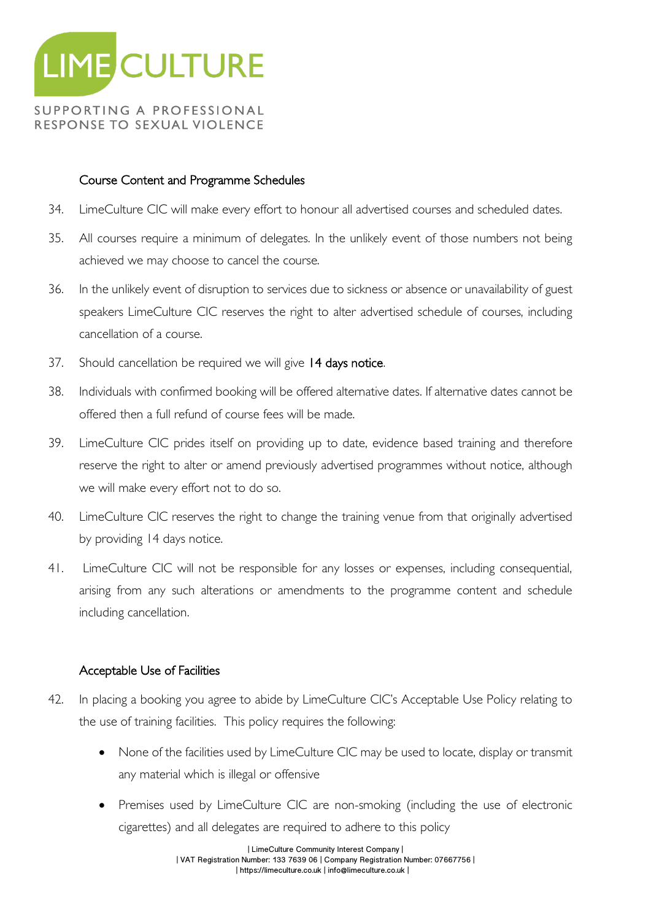

## Course Content and Programme Schedules

- 34. LimeCulture CIC will make every effort to honour all advertised courses and scheduled dates.
- 35. All courses require a minimum of delegates. In the unlikely event of those numbers not being achieved we may choose to cancel the course.
- 36. In the unlikely event of disruption to services due to sickness or absence or unavailability of guest speakers LimeCulture CIC reserves the right to alter advertised schedule of courses, including cancellation of a course.
- 37. Should cancellation be required we will give 14 days notice.
- 38. Individuals with confirmed booking will be offered alternative dates. If alternative dates cannot be offered then a full refund of course fees will be made.
- 39. LimeCulture CIC prides itself on providing up to date, evidence based training and therefore reserve the right to alter or amend previously advertised programmes without notice, although we will make every effort not to do so.
- 40. LimeCulture CIC reserves the right to change the training venue from that originally advertised by providing 14 days notice.
- 41. LimeCulture CIC will not be responsible for any losses or expenses, including consequential, arising from any such alterations or amendments to the programme content and schedule including cancellation.

## Acceptable Use of Facilities

- 42. In placing a booking you agree to abide by LimeCulture CIC's Acceptable Use Policy relating to the use of training facilities. This policy requires the following:
	- None of the facilities used by LimeCulture CIC may be used to locate, display or transmit any material which is illegal or offensive
	- Premises used by LimeCulture CIC are non-smoking (including the use of electronic cigarettes) and all delegates are required to adhere to this policy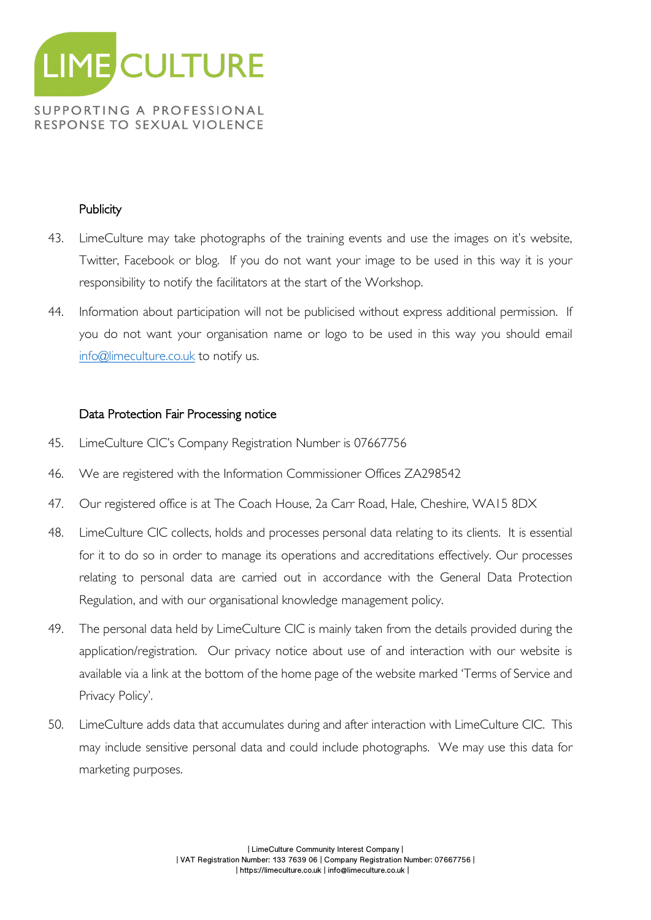

#### **Publicity**

- 43. LimeCulture may take photographs of the training events and use the images on it's website, Twitter, Facebook or blog. If you do not want your image to be used in this way it is your responsibility to notify the facilitators at the start of the Workshop.
- 44. Information about participation will not be publicised without express additional permission. If you do not want your organisation name or logo to be used in this way you should email info@limeculture.co.uk to notify us.

#### Data Protection Fair Processing notice

- 45. LimeCulture CIC's Company Registration Number is 07667756
- 46. We are registered with the Information Commissioner Offices ZA298542
- 47. Our registered office is at The Coach House, 2a Carr Road, Hale, Cheshire, WA15 8DX
- 48. LimeCulture CIC collects, holds and processes personal data relating to its clients. It is essential for it to do so in order to manage its operations and accreditations effectively. Our processes relating to personal data are carried out in accordance with the General Data Protection Regulation, and with our organisational knowledge management policy.
- 49. The personal data held by LimeCulture CIC is mainly taken from the details provided during the application/registration. Our privacy notice about use of and interaction with our website is available via a link at the bottom of the home page of the website marked 'Terms of Service and Privacy Policy'.
- 50. LimeCulture adds data that accumulates during and after interaction with LimeCulture CIC. This may include sensitive personal data and could include photographs. We may use this data for marketing purposes.